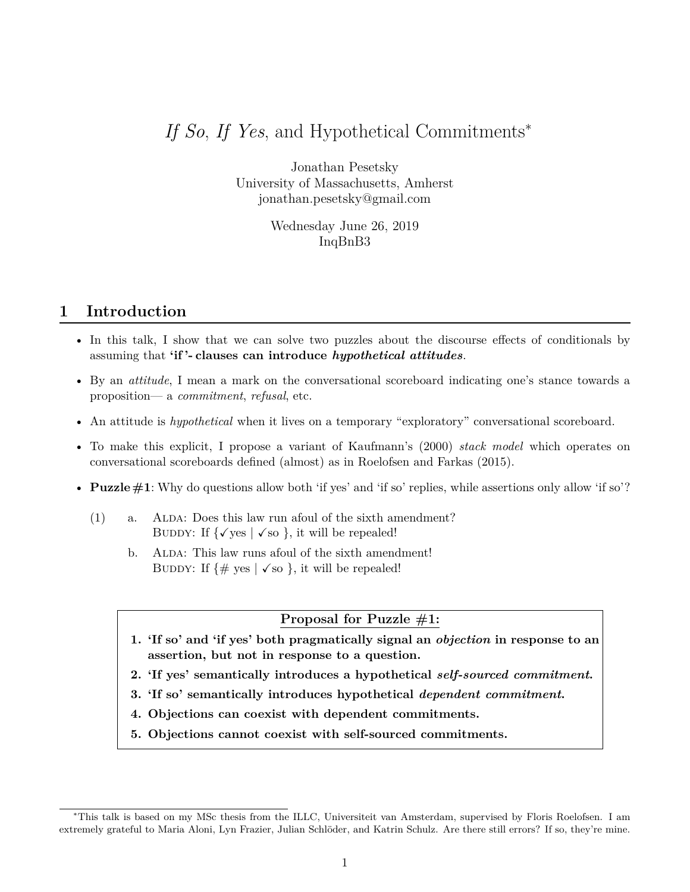# *If So, If Yes*, and Hypothetical Commitments<sup>∗</sup>

Jonathan Pesetsky University of Massachusetts, Amherst jonathan.pesetsky@gmail.com

> Wednesday June 26, 2019 InqBnB3

## **1 Introduction**

- In this talk, I show that we can solve two puzzles about the discourse effects of conditionals by assuming that **'if '- clauses can introduce** *hypothetical attitudes*.
- By an *attitude*, I mean a mark on the conversational scoreboard indicating one's stance towards a proposition— a *commitment*, *refusal*, etc.
- An attitude is *hypothetical* when it lives on a temporary "exploratory" conversational scoreboard.
- To make this explicit, I propose a variant of Kaufmann's (2000) *stack model* which operates on conversational scoreboards defined (almost) as in Roelofsen and Farkas (2015).
- **Puzzle**  $\#1$ : Why do questions allow both 'if yes' and 'if so' replies, while assertions only allow 'if so'?
	- $(1)$  a. ALDA: Does this law run afoul of the sixth amendment? BUDDY: If  $\{\sqrt{\text{yes}} \mid \sqrt{\text{so}}\}$ , it will be repealed!
		- b. ALDA: This law runs afoul of the sixth amendment! BUDDY: If  $\{\# \text{ yes } | \text{ √ so } \}$ , it will be repealed!

#### **Proposal for Puzzle #1:**

- **1. 'If so' and 'if yes' both pragmatically signal an** *objection* **in response to an assertion, but not in response to a question.**
- **2. 'If yes' semantically introduces a hypothetical** *self-sourced commitment***.**
- **3. 'If so' semantically introduces hypothetical** *dependent commitment***.**
- **4. Objections can coexist with dependent commitments.**
- **5. Objections cannot coexist with self-sourced commitments.**

<sup>∗</sup>This talk is based on my MSc thesis from the ILLC, Universiteit van Amsterdam, supervised by Floris Roelofsen. I am extremely grateful to Maria Aloni, Lyn Frazier, Julian Schlöder, and Katrin Schulz. Are there still errors? If so, they're mine.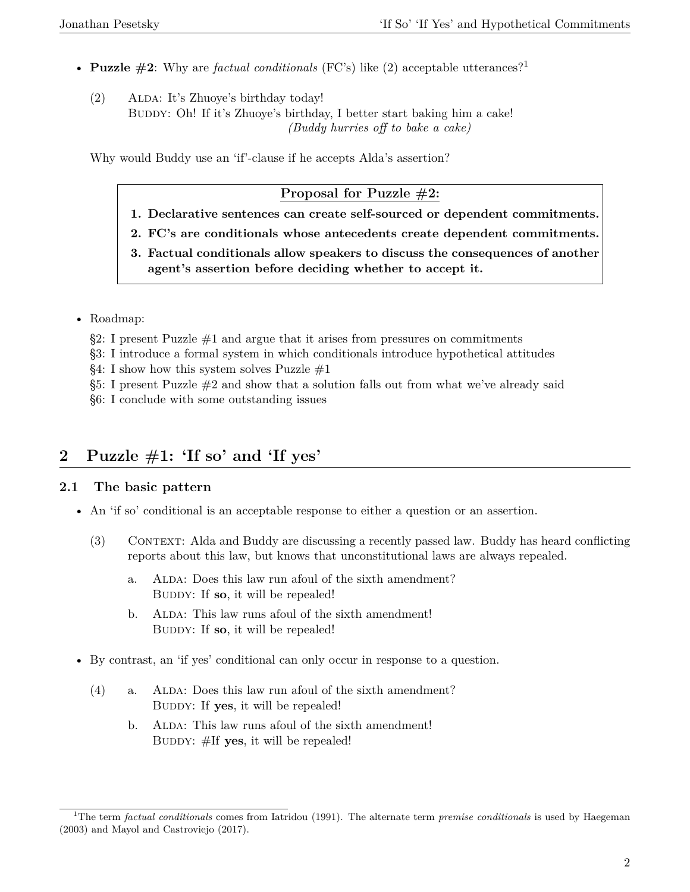- **Puzzle #2**: Why are *factual conditionals* (FC's) like (2) acceptable utterances?<sup>1</sup>
	- (2) ALDA: It's Zhuoye's birthday today! BUDDY: Oh! If it's Zhuoye's birthday, I better start baking him a cake! *(Buddy hurries off to bake a cake)*

Why would Buddy use an 'if'-clause if he accepts Alda's assertion?

### **Proposal for Puzzle #2:**

- **1. Declarative sentences can create self-sourced or dependent commitments.**
- **2. FC's are conditionals whose antecedents create dependent commitments.**
- **3. Factual conditionals allow speakers to discuss the consequences of another agent's assertion before deciding whether to accept it.**
- Roadmap:
	- $\S2: I$  present Puzzle  $\#1$  and argue that it arises from pressures on commitments
	- §3: I introduce a formal system in which conditionals introduce hypothetical attitudes
	- §4: I show how this system solves Puzzle  $#1$
	- $§5: I present Puzzle #2 and show that a solution falls out from what we've already said$
	- §6: I conclude with some outstanding issues

# **2 Puzzle #1: 'If so' and 'If yes'**

### **2.1 The basic pattern**

- An 'if so' conditional is an acceptable response to either a question or an assertion.
	- (3) Context: Alda and Buddy are discussing a recently passed law. Buddy has heard conflicting reports about this law, but knows that unconstitutional laws are always repealed. .
		- a. ALDA: Does this law run afoul of the sixth amendment? BUDDY: If so, it will be repealed!
		- b. ALDA: This law runs afoul of the sixth amendment! BUDDY: If **so**, it will be repealed!
- By contrast, an 'if yes' conditional can only occur in response to a question.
	- $(4)$  a. ALDA: Does this law run afoul of the sixth amendment? BUDDY: If yes, it will be repealed!
		- b. ALDA: This law runs afoul of the sixth amendment! BUDDY: #If **yes**, it will be repealed!

<sup>1</sup>The term *factual conditionals* comes from Iatridou (1991). The alternate term *premise conditionals* is used by Haegeman (2003) and Mayol and Castroviejo (2017).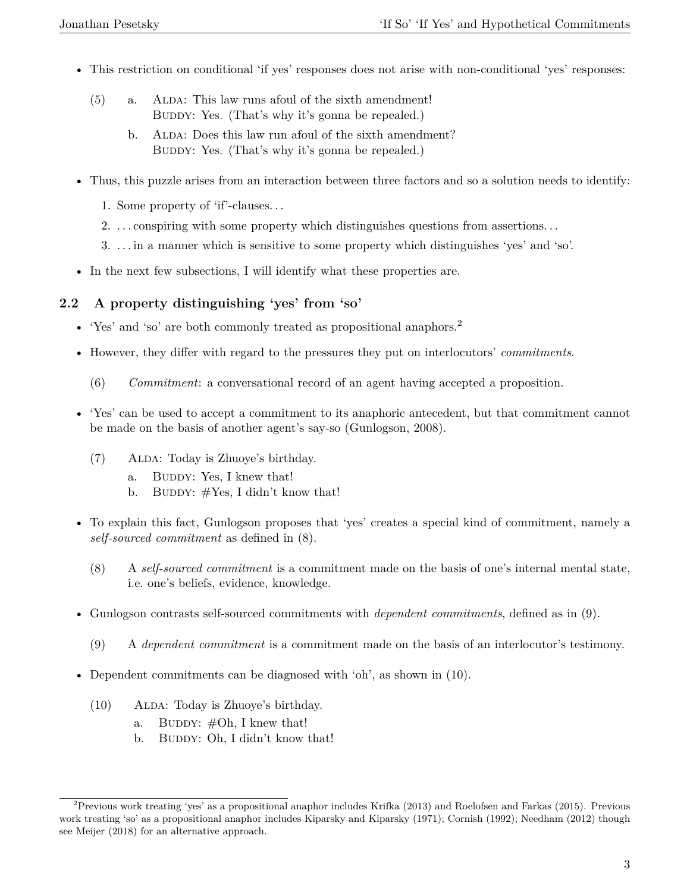- This restriction on conditional 'if yes' responses does not arise with non-conditional 'yes' responses:
	- (5) a. ALDA: This law runs afoul of the sixth amendment! BUDDY: Yes. (That's why it's gonna be repealed.)
		- b. ALDA: Does this law run afoul of the sixth amendment? BUDDY: Yes. (That's why it's gonna be repealed.)
- Thus, this puzzle arises from an interaction between three factors and so a solution needs to identify:
	- 1. Some property of 'if'-clauses. . .
	- 2. . . . conspiring with some property which distinguishes questions from assertions. . .
	- 3. . . . in a manner which is sensitive to some property which distinguishes 'yes' and 'so'.
- In the next few subsections, I will identify what these properties are.

### **2.2 A property distinguishing 'yes' from 'so'**

- 'Yes' and 'so' are both commonly treated as propositional anaphors.<sup>2</sup>
- However, they differ with regard to the pressures they put on interlocutors' *commitments*.
	- (6) *Commitment*: a conversational record of an agent having accepted a proposition.
- 'Yes' can be used to accept a commitment to its anaphoric antecedent, but that commitment cannot be made on the basis of another agent's say-so (Gunlogson, 2008).
	- (7) Alda: Today is Zhuoye's birthday.
		- a. BUDDY: Yes, I knew that!
		- b. BUDDY:  $#Yes$ , I didn't know that!
- To explain this fact, Gunlogson proposes that 'yes' creates a special kind of commitment, namely a *self-sourced commitment* as defined in (8).
	- (8) A *self-sourced commitment* is a commitment made on the basis of one's internal mental state, i.e. one's beliefs, evidence, knowledge.
- Gunlogson contrasts self-sourced commitments with *dependent commitments*, defined as in (9).
	- (9) A *dependent commitment* is a commitment made on the basis of an interlocutor's testimony.
- Dependent commitments can be diagnosed with 'oh', as shown in (10).
	- (10) ALDA: Today is Zhuoye's birthday.
		- a. BUDDY:  $#Oh, I$  knew that!
		- b. BUDDY: Oh, I didn't know that!

<sup>&</sup>lt;sup>2</sup> Previous work treating 'yes' as a propositional anaphor includes Krifka (2013) and Roelofsen and Farkas (2015). Previous work treating 'so' as a propositional anaphor includes Kiparsky and Kiparsky (1971); Cornish (1992); Needham (2012) though see Meijer (2018) for an alternative approach.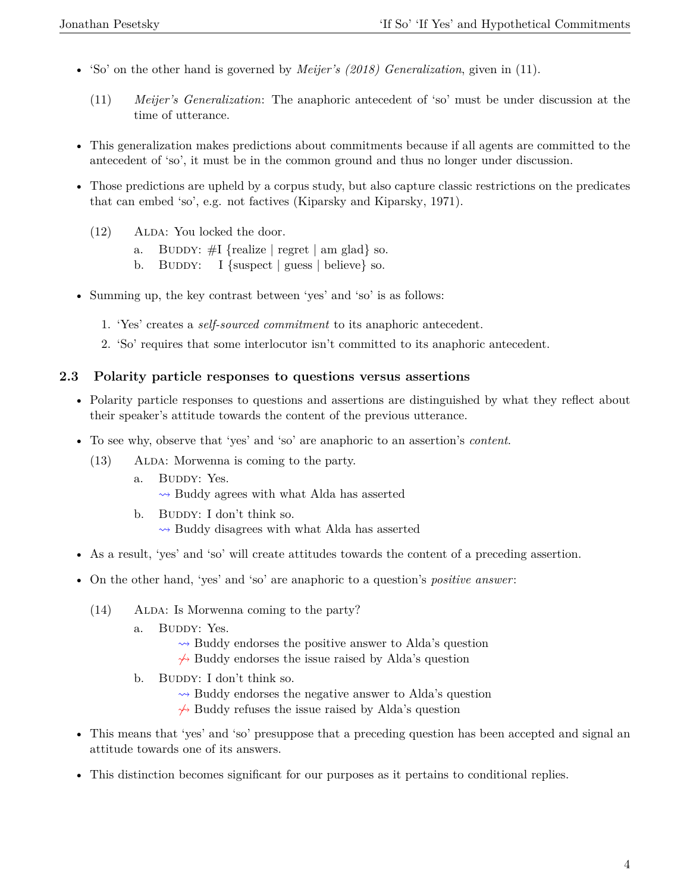- 'So' on the other hand is governed by *Meijer's (2018) Generalization*, given in (11).
	- (11) *Meijer's Generalization*: The anaphoric antecedent of 'so' must be under discussion at the time of utterance.
- This generalization makes predictions about commitments because if all agents are committed to the antecedent of 'so', it must be in the common ground and thus no longer under discussion.
- Those predictions are upheld by a corpus study, but also capture classic restrictions on the predicates that can embed 'so', e.g. not factives (Kiparsky and Kiparsky, 1971).
	- $(12)$  ALDA: You locked the door.
		- a. BUDDY:  $\#I$  {realize | regret | am glad} so.
		- b. BUDDY: I {suspect | guess | believe} so.
- Summing up, the key contrast between 'yes' and 'so' is as follows:
	- 1. 'Yes' creates a *self-sourced commitment* to its anaphoric antecedent.
	- 2. 'So' requires that some interlocutor isn't committed to its anaphoric antecedent.

#### **2.3 Polarity particle responses to questions versus assertions**

- Polarity particle responses to questions and assertions are distinguished by what they reflect about their speaker's attitude towards the content of the previous utterance.
- To see why, observe that 'yes' and 'so' are anaphoric to an assertion's *content*.
	- $(13)$  ALDA: Morwenna is coming to the party.
		- a. BUDDY: Yes.  $\rightsquigarrow$  Buddy agrees with what Alda has asserted
		- b. BUDDY: I don't think so.  $\rightarrow$  Buddy disagrees with what Alda has asserted
- As a result, 'yes' and 'so' will create attitudes towards the content of a preceding assertion.
- On the other hand, 'yes' and 'so' are anaphoric to a question's *positive answer*:
	- (14) ALDA: Is Morwenna coming to the party?
		- a. BUDDY: Yes.
			- $\rightsquigarrow$  Buddy endorses the positive answer to Alda's question
			- $\rightarrow$  Buddy endorses the issue raised by Alda's question
		- b. BUDDY: I don't think so.
			- $\rightsquigarrow$  Buddy endorses the negative answer to Alda's question
			- $\rightarrow$  Buddy refuses the issue raised by Alda's question
- This means that 'yes' and 'so' presuppose that a preceding question has been accepted and signal an attitude towards one of its answers.
- This distinction becomes significant for our purposes as it pertains to conditional replies.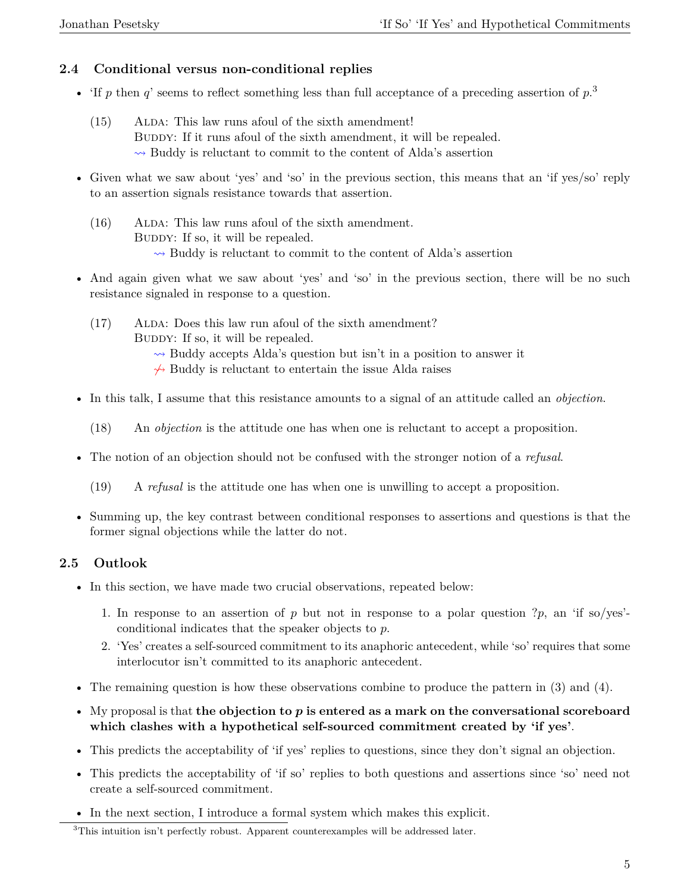### **2.4 Conditional versus non-conditional replies**

- 'If  $p$  then  $q$ ' seems to reflect something less than full acceptance of a preceding assertion of  $p$ <sup>3</sup>
	- $(15)$  ALDA: This law runs afoul of the sixth amendment! BUDDY: If it runs afoul of the sixth amendment, it will be repealed.  $\rightarrow$  Buddy is reluctant to commit to the content of Alda's assertion
- Given what we saw about 'yes' and 'so' in the previous section, this means that an 'if yes/so' reply to an assertion signals resistance towards that assertion.
	- $(16)$  ALDA: This law runs afoul of the sixth amendment. BUDDY: If so, it will be repealed.  $\rightarrow$  Buddy is reluctant to commit to the content of Alda's assertion
- And again given what we saw about 'yes' and 'so' in the previous section, there will be no such resistance signaled in response to a question.
	- (17) ALDA: Does this law run afoul of the sixth amendment? BUDDY: If so, it will be repealed.
		- $\rightarrow$  Buddy accepts Alda's question but isn't in a position to answer it
		- $\leftrightarrow$  Buddy is reluctant to entertain the issue Alda raises
- In this talk, I assume that this resistance amounts to a signal of an attitude called an *objection*.
	- (18) An *objection* is the attitude one has when one is reluctant to accept a proposition.
- The notion of an objection should not be confused with the stronger notion of a *refusal*.
	- (19) A *refusal* is the attitude one has when one is unwilling to accept a proposition.
- Summing up, the key contrast between conditional responses to assertions and questions is that the former signal objections while the latter do not.

## **2.5 Outlook**

- In this section, we have made two crucial observations, repeated below:
	- 1. In response to an assertion of  $p$  but not in response to a polar question  $?p$ , an 'if so/yes'conditional indicates that the speaker objects to *p*.
	- 2. 'Yes' creates a self-sourced commitment to its anaphoric antecedent, while 'so' requires that some interlocutor isn't committed to its anaphoric antecedent.
- The remaining question is how these observations combine to produce the pattern in (3) and (4).
- My proposal is that **the objection to** p **is entered as a mark on the conversational scoreboard which clashes with a hypothetical self-sourced commitment created by 'if yes'**.
- This predicts the acceptability of 'if yes' replies to questions, since they don't signal an objection.
- This predicts the acceptability of 'if so' replies to both questions and assertions since 'so' need not create a self-sourced commitment.
- In the next section, I introduce a formal system which makes this explicit.

<sup>&</sup>lt;sup>3</sup>This intuition isn't perfectly robust. Apparent counterexamples will be addressed later.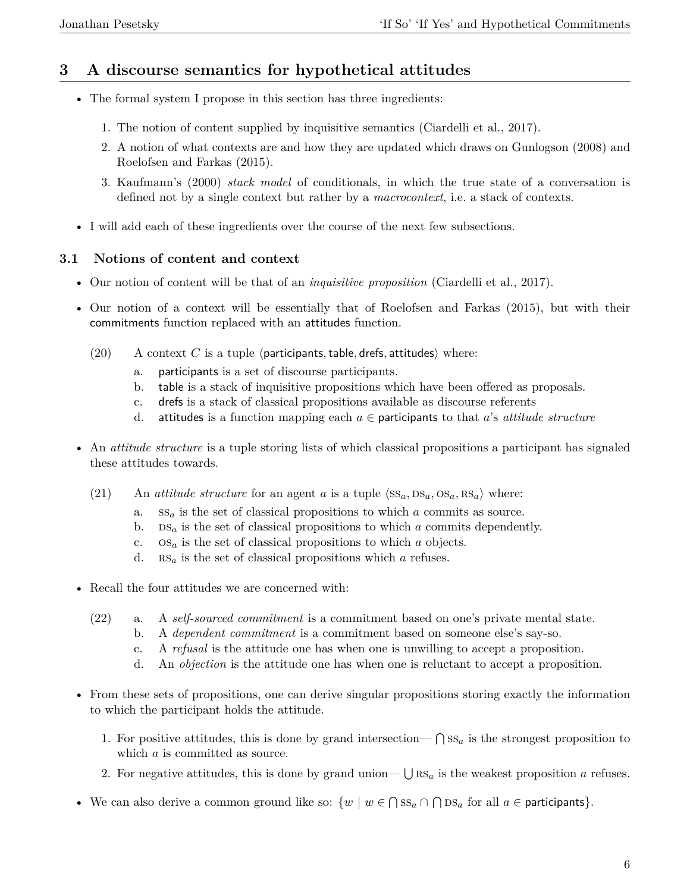# **3 A discourse semantics for hypothetical attitudes**

- The formal system I propose in this section has three ingredients:
	- 1. The notion of content supplied by inquisitive semantics (Ciardelli et al., 2017).
	- 2. A notion of what contexts are and how they are updated which draws on Gunlogson (2008) and Roelofsen and Farkas (2015).
	- 3. Kaufmann's (2000) *stack model* of conditionals, in which the true state of a conversation is defined not by a single context but rather by a *macrocontext*, i.e. a stack of contexts.
- I will add each of these ingredients over the course of the next few subsections.

### **3.1 Notions of content and context**

- Our notion of content will be that of an *inquisitive proposition* (Ciardelli et al., 2017).
- Our notion of a context will be essentially that of Roelofsen and Farkas (2015), but with their commitments function replaced with an attitudes function.
	- $(20)$  A context *C* is a tuple (participants, table, drefs, attitudes) where:
		- a. participants is a set of discourse participants.
		- b. table is a stack of inquisitive propositions which have been offered as proposals.
		- c. drefs is a stack of classical propositions available as discourse referents
		- d. attitudes is a function mapping each  $a \in$  participants to that *a*'s *attitude structure*
- An *attitude structure* is a tuple storing lists of which classical propositions a participant has signaled these attitudes towards.
	- (21) An *attitude structure* for an agent *a* is a tuple  $\langle SS_a, DS_a, SS_a, RS_a \rangle$  where:
		- a. ss*<sup>a</sup>* is the set of classical propositions to which *a* commits as source.
		- b.  $DS_a$  is the set of classical propositions to which *a* commits dependently.
		- c. os*<sup>a</sup>* is the set of classical propositions to which *a* objects.
		- d. rs*<sup>a</sup>* is the set of classical propositions which *a* refuses.
- Recall the four attitudes we are concerned with:
	- (22) a. A *self-sourced commitment* is a commitment based on one's private mental state.
		- b. A *dependent commitment* is a commitment based on someone else's say-so.
		- c. A *refusal* is the attitude one has when one is unwilling to accept a proposition.
		- d. An *objection* is the attitude one has when one is reluctant to accept a proposition.
- From these sets of propositions, one can derive singular propositions storing exactly the information to which the participant holds the attitude.
	- 1. For positive attitudes, this is done by grand intersection— $\bigcap SS_a$  is the strongest proposition to which *a* is committed as source.
	- 2. For negative attitudes, this is done by grand union—  $\bigcup$  RS<sub>a</sub> is the weakest proposition *a* refuses.
- We can also derive a common ground like so:  $\{w \mid w \in \bigcap \text{SS}_a \cap \bigcap \text{DS}_a$  for all  $a \in$  participants}.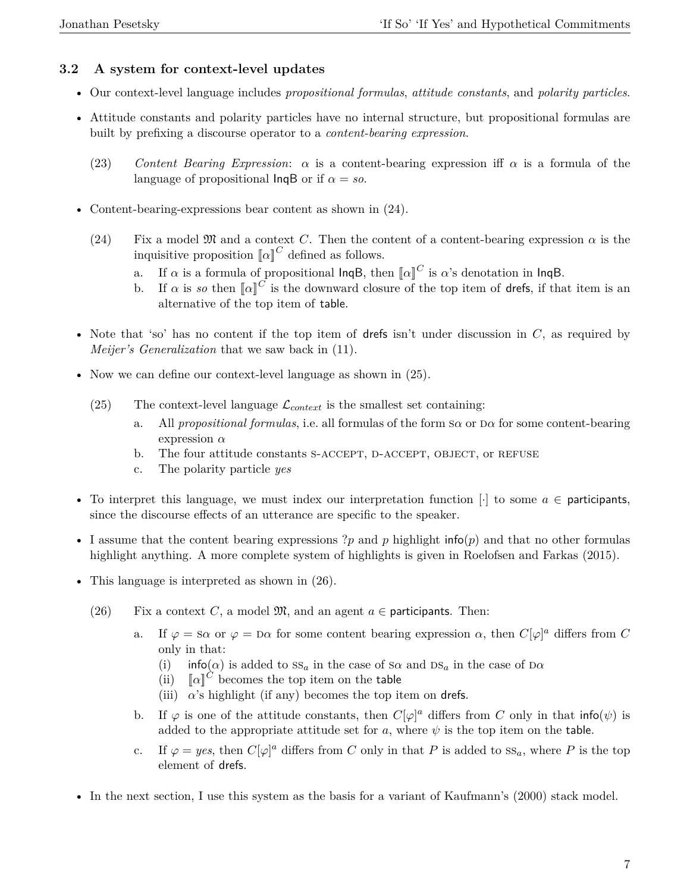### **3.2 A system for context-level updates**

- Our context-level language includes *propositional formulas*, *attitude constants*, and *polarity particles*.
- Attitude constants and polarity particles have no internal structure, but propositional formulas are built by prefixing a discourse operator to a *content-bearing expression*.
	- (23) *Content Bearing Expression*: *α* is a content-bearing expression iff *α* is a formula of the language of propositional  $\text{lnqB}$  or if  $\alpha = so$ .
- Content-bearing-expressions bear content as shown in  $(24)$ .
	- (24) Fix a model  $\mathfrak{M}$  and a context *C*. Then the content of a content-bearing expression  $\alpha$  is the inquisitive proposition  $\llbracket \alpha \rrbracket^C$  defined as follows.
		- a. If  $\alpha$  is a formula of propositional lnqB, then  $\llbracket \alpha \rrbracket^C$  is  $\alpha$ 's denotation in lnqB.
		- b. If  $\alpha$  is so then  $\llbracket \alpha \rrbracket^C$  is the downward closure of the top item of drefs, if that item is an alternative of the top item of table.
- Note that 'so' has no content if the top item of drefs isn't under discussion in *C*, as required by *Meijer's Generalization* that we saw back in (11).
- Now we can define our context-level language as shown in  $(25)$ .
	- (25) The context-level language  $\mathcal{L}_{context}$  is the smallest set containing:
		- a. All *propositional formulas*, i.e. all formulas of the form s*α* or d*α* for some content-bearing expression *α*
		- b. The four attitude constants S-ACCEPT, D-ACCEPT, OBJECT, or REFUSE
		- c. The polarity particle *yes*
- To interpret this language, we must index our interpretation function  $[\cdot]$  to some  $a \in$  participants, since the discourse effects of an utterance are specific to the speaker.
- I assume that the content bearing expressions ?*p* and *p* highlight info(*p*) and that no other formulas highlight anything. A more complete system of highlights is given in Roelofsen and Farkas (2015).
- This language is interpreted as shown in  $(26)$ .
	- (26) Fix a context *C*, a model  $\mathfrak{M}$ , and an agent  $a \in$  participants. Then:
		- a. If  $\varphi = s\alpha$  or  $\varphi = \alpha$  for some content bearing expression  $\alpha$ , then  $C[\varphi]^a$  differs from C only in that:
			- (i)  $\int$  info( $\alpha$ ) is added to  $SS_a$  in the case of  $S\alpha$  and  $DS_a$  in the case of  $D\alpha$
			- (ii)  $\left\| \alpha \right\|^C$  becomes the top item on the table
			- (iii)  $\alpha$ 's highlight (if any) becomes the top item on drefs.
		- b. If  $\varphi$  is one of the attitude constants, then  $C[\varphi]^a$  differs from *C* only in that info( $\psi$ ) is added to the appropriate attitude set for  $a$ , where  $\psi$  is the top item on the table.
		- c. If  $\varphi = yes$ , then  $C[\varphi]^a$  differs from *C* only in that *P* is added to  $SS_a$ , where *P* is the top element of drefs.
- In the next section, I use this system as the basis for a variant of Kaufmann's (2000) stack model.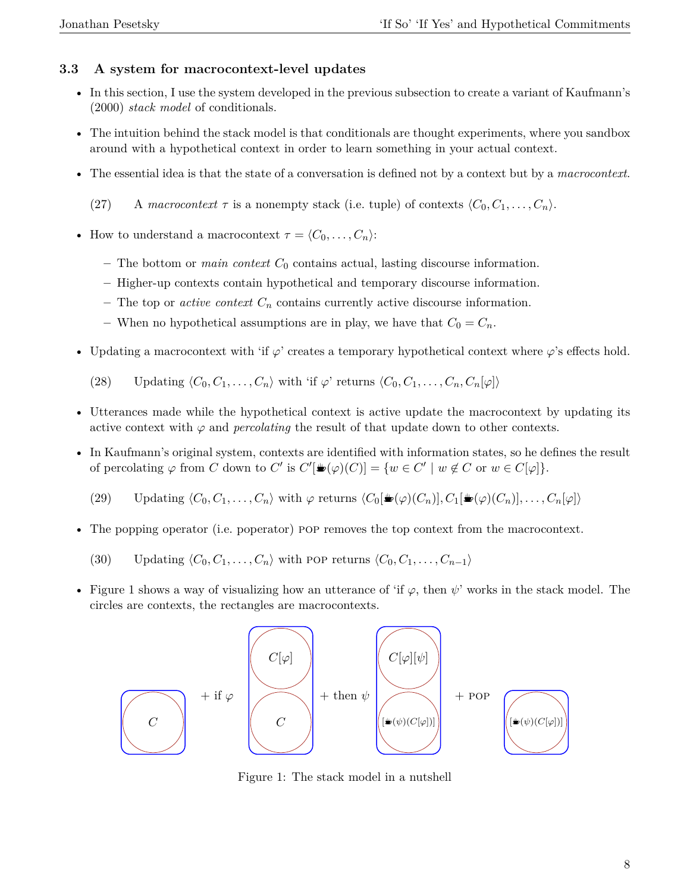# **3.3 A system for macrocontext-level updates**

- In this section, I use the system developed in the previous subsection to create a variant of Kaufmann's (2000) *stack model* of conditionals.
- The intuition behind the stack model is that conditionals are thought experiments, where you sandbox around with a hypothetical context in order to learn something in your actual context.
- The essential idea is that the state of a conversation is defined not by a context but by a *macrocontext*.
	- (27) A macrocontext  $\tau$  is a nonempty stack (i.e. tuple) of contexts  $\langle C_0, C_1, \ldots, C_n \rangle$ .
- How to understand a macrocontext  $\tau = \langle C_0, \ldots, C_n \rangle$ :
	- **–** The bottom or *main context C*<sup>0</sup> contains actual, lasting discourse information.
	- **–** Higher-up contexts contain hypothetical and temporary discourse information.
	- **–** The top or *active context C<sup>n</sup>* contains currently active discourse information.
	- $-$  When no hypothetical assumptions are in play, we have that  $C_0 = C_n$ .
- Updating a macrocontext with 'if  $\varphi$ ' creates a temporary hypothetical context where  $\varphi$ 's effects hold.

(28) Updating  $\langle C_0, C_1, \ldots, C_n \rangle$  with 'if  $\varphi$ ' returns  $\langle C_0, C_1, \ldots, C_n, C_n | \varphi | \rangle$ 

- Utterances made while the hypothetical context is active update the macrocontext by updating its active context with  $\varphi$  and *percolating* the result of that update down to other contexts.
- In Kaufmann's original system, contexts are identified with information states, so he defines the result of percolating  $\varphi$  from *C* down to *C'* is  $C'[\mathbf{w}(\varphi)(C)] = \{w \in C' \mid w \notin C \text{ or } w \in C[\varphi]\}.$ 
	- (29) Updating  $\langle C_0, C_1, \ldots, C_n \rangle$  with  $\varphi$  returns  $\langle C_0[\blacktriangleright(\varphi)(C_n)], C_1[\blacktriangleright(\varphi)(C_n)], \ldots, C_n[\varphi] \rangle$
- The popping operator (i.e. poperator) pop removes the top context from the macrocontext.
	- (30) Updating  $\langle C_0, C_1, \ldots, C_n \rangle$  with pop returns  $\langle C_0, C_1, \ldots, C_{n-1} \rangle$
- Figure 1 shows a way of visualizing how an utterance of 'if  $\varphi$ , then  $\psi'$ ' works in the stack model. The circles are contexts, the rectangles are macrocontexts.



Figure 1: The stack model in a nutshell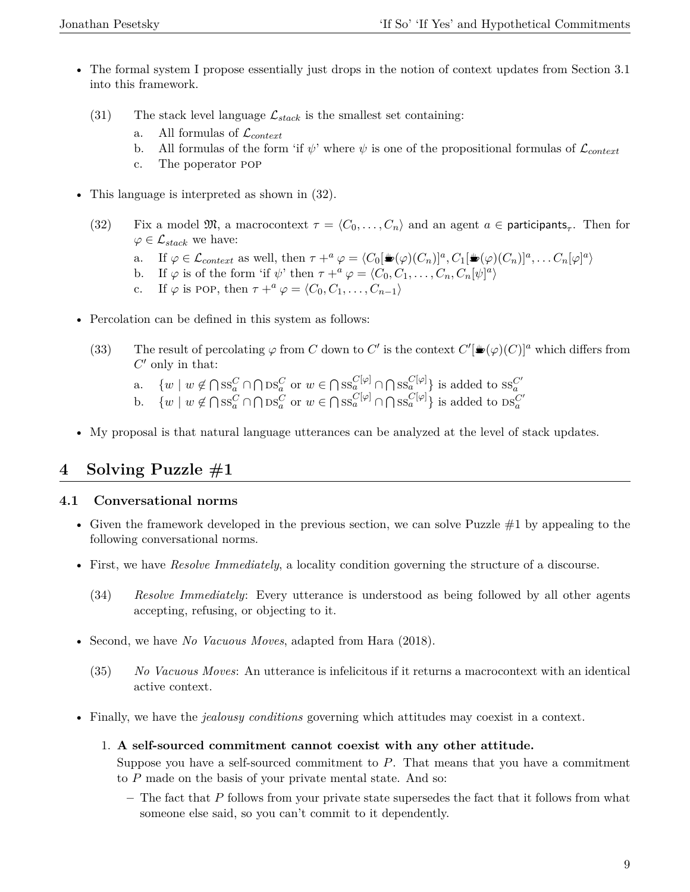- The formal system I propose essentially just drops in the notion of context updates from Section 3.1 into this framework.
	- (31) The stack level language  $\mathcal{L}_{stack}$  is the smallest set containing:
		- All formulas of  $\mathcal{L}_{context}$
		- b. All formulas of the form 'if  $\psi$ ' where  $\psi$  is one of the propositional formulas of  $\mathcal{L}_{context}$
		- c. The poperator pop
- This language is interpreted as shown in  $(32)$ .
	- (32) Fix a model  $\mathfrak{M}$ , a macrocontext  $\tau = \langle C_0, \ldots, C_n \rangle$  and an agent  $a \in \mathsf{participants}_{\tau}$ . Then for  $\varphi \in \mathcal{L}_{stack}$  we have:
		- a. If  $\varphi \in \mathcal{L}_{context}$  as well, then  $\tau +^a \varphi = \langle C_0[\mathbf{E}(\varphi)(C_n)]^a, C_1[\mathbf{E}(\varphi)(C_n)]^a, \dots C_n[\varphi]^a \rangle$
		- b. If  $\varphi$  is of the form 'if  $\psi$ ' then  $\tau +^a \varphi = \langle C_0, C_1, \ldots, C_n, C_n[\psi]^a \rangle$
		- c. If  $\varphi$  is POP, then  $\tau +^a \varphi = \langle C_0, C_1, \ldots, C_{n-1} \rangle$
- Percolation can be defined in this system as follows:
	- (33) The result of percolating  $\varphi$  from *C* down to *C'* is the context  $C'[\equiv(\varphi)(C)]^a$  which differs from  $C'$  only in that:
		- a.  $\{w \mid w \notin \bigcap \text{ss}_a^C \cap \bigcap \text{DS}_a^C \text{ or } w \in \bigcap \text{ss}_a^{C[\varphi]} \cap \bigcap \text{ss}_a^{C[\varphi]}\}$  is added to  $\text{ss}_a^{C'}$
		- b.  $\{w \mid w \notin \bigcap \text{SS}_a^C \cap \bigcap \text{DS}_a^C \text{ or } w \in \bigcap \text{SS}_a^{C[\varphi]} \cap \bigcap \text{SS}_a^{C[\varphi]}\}$  is added to  $\text{DS}_a^{C'}$
- My proposal is that natural language utterances can be analyzed at the level of stack updates.

# **4 Solving Puzzle #1**

# **4.1 Conversational norms**

- Given the framework developed in the previous section, we can solve Puzzle  $#1$  by appealing to the following conversational norms.
- First, we have *Resolve Immediately*, a locality condition governing the structure of a discourse.
	- (34) *Resolve Immediately*: Every utterance is understood as being followed by all other agents accepting, refusing, or objecting to it.
- Second, we have *No Vacuous Moves*, adapted from Hara (2018).
	- (35) *No Vacuous Moves*: An utterance is infelicitous if it returns a macrocontext with an identical active context.
- Finally, we have the *jealousy conditions* governing which attitudes may coexist in a context.
	- 1. **A self-sourced commitment cannot coexist with any other attitude.**

Suppose you have a self-sourced commitment to *P*. That means that you have a commitment to *P* made on the basis of your private mental state. And so:

**–** The fact that *P* follows from your private state supersedes the fact that it follows from what someone else said, so you can't commit to it dependently.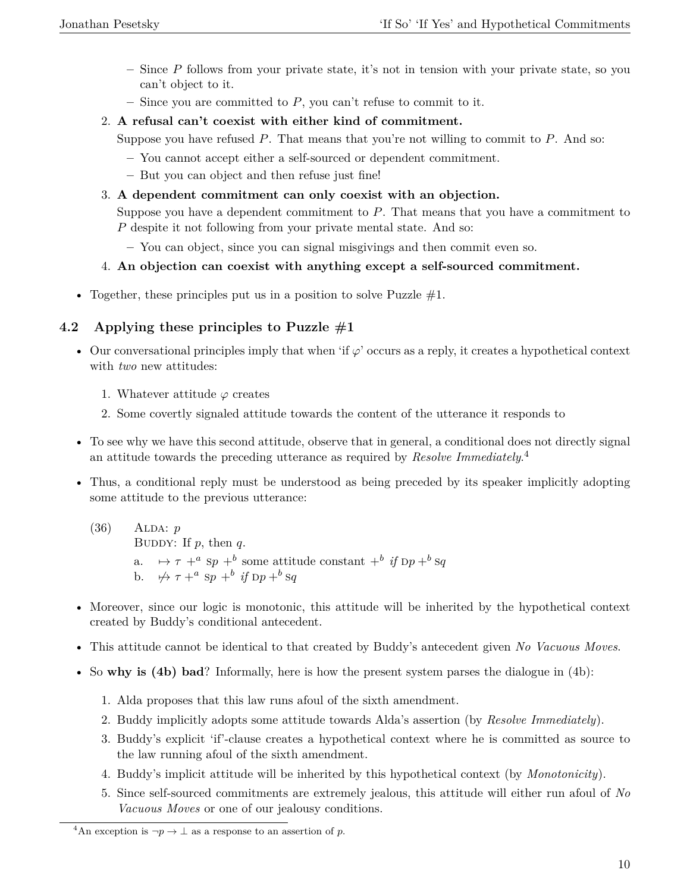- **–** Since *P* follows from your private state, it's not in tension with your private state, so you can't object to it.
- **–** Since you are committed to *P*, you can't refuse to commit to it.
- 2. **A refusal can't coexist with either kind of commitment.**

Suppose you have refused *P*. That means that you're not willing to commit to *P*. And so:

- **–** You cannot accept either a self-sourced or dependent commitment.
- **–** But you can object and then refuse just fine!
- 3. **A dependent commitment can only coexist with an objection.**

Suppose you have a dependent commitment to *P*. That means that you have a commitment to *P* despite it not following from your private mental state. And so:

- **–** You can object, since you can signal misgivings and then commit even so.
- 4. **An objection can coexist with anything except a self-sourced commitment.**
- Together, these principles put us in a position to solve Puzzle  $#1$ .

# **4.2 Applying these principles to Puzzle #1**

- Our conversational principles imply that when 'if  $\varphi$ ' occurs as a reply, it creates a hypothetical context with *two* new attitudes:
	- 1. Whatever attitude *ϕ* creates
	- 2. Some covertly signaled attitude towards the content of the utterance it responds to
- To see why we have this second attitude, observe that in general, a conditional does not directly signal an attitude towards the preceding utterance as required by *Resolve Immediately*. 4
- Thus, a conditional reply must be understood as being preceded by its speaker implicitly adopting some attitude to the previous utterance:
	- (36) Alda: *p* BUDDY: If  $p$ , then  $q$ . a.  $\mapsto \tau +^a \text{sp} +^b \text{some attitude constant} +^b \text{if } \text{pp} +^b \text{sq}$ b.  $\forall$   $\forall$   $\tau$  + <sup>a</sup> sp + <sup>b</sup> if  $\text{D}p$  + <sup>b</sup> sq
- Moreover, since our logic is monotonic, this attitude will be inherited by the hypothetical context created by Buddy's conditional antecedent.
- This attitude cannot be identical to that created by Buddy's antecedent given *No Vacuous Moves*.
- So **why is (4b) bad**? Informally, here is how the present system parses the dialogue in (4b):
	- 1. Alda proposes that this law runs afoul of the sixth amendment.
	- 2. Buddy implicitly adopts some attitude towards Alda's assertion (by *Resolve Immediately*).
	- 3. Buddy's explicit 'if'-clause creates a hypothetical context where he is committed as source to the law running afoul of the sixth amendment.
	- 4. Buddy's implicit attitude will be inherited by this hypothetical context (by *Monotonicity*).
	- 5. Since self-sourced commitments are extremely jealous, this attitude will either run afoul of *No Vacuous Moves* or one of our jealousy conditions.

<sup>&</sup>lt;sup>4</sup>An exception is  $\neg p \rightarrow \bot$  as a response to an assertion of *p*.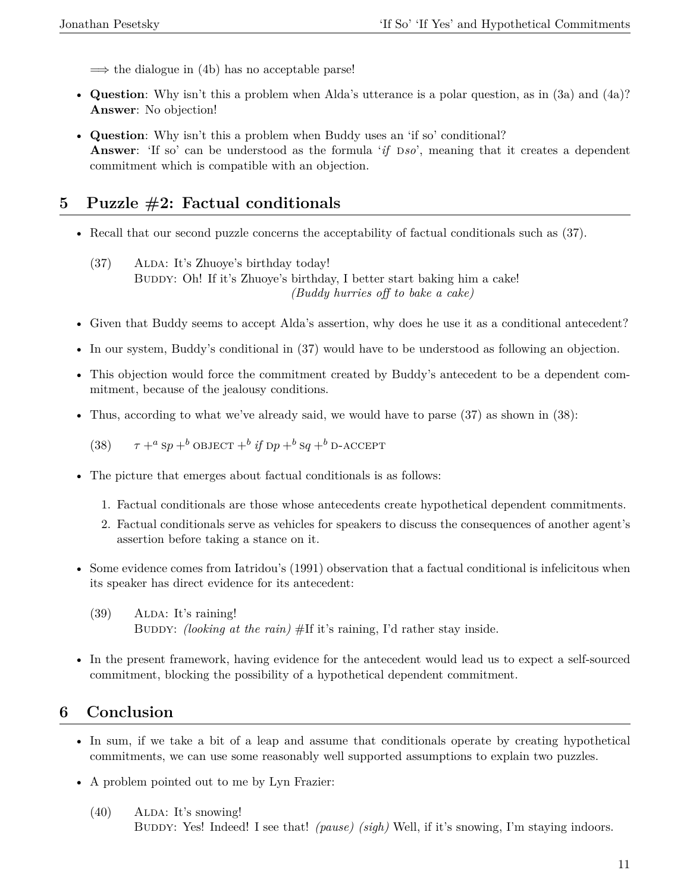$\implies$  the dialogue in (4b) has no acceptable parse!

- **Question**: Why isn't this a problem when Alda's utterance is a polar question, as in (3a) and (4a)? **Answer**: No objection!
- **Question**: Why isn't this a problem when Buddy uses an 'if so' conditional? **Answer**: 'If so' can be understood as the formula '*if* Dso', meaning that it creates a dependent commitment which is compatible with an objection.

# **5 Puzzle #2: Factual conditionals**

- Recall that our second puzzle concerns the acceptability of factual conditionals such as (37).
	- $(37)$  ALDA: It's Zhuoye's birthday today! BUDDY: Oh! If it's Zhuoye's birthday, I better start baking him a cake! *(Buddy hurries off to bake a cake)*
- Given that Buddy seems to accept Alda's assertion, why does he use it as a conditional antecedent?
- In our system, Buddy's conditional in (37) would have to be understood as following an objection.
- This objection would force the commitment created by Buddy's antecedent to be a dependent commitment, because of the jealousy conditions.
- Thus, according to what we've already said, we would have to parse (37) as shown in (38):

(38)  $\tau +^a \text{sp} +^b \text{OBJECT} +^b \text{if } \text{DP} +^b \text{sq} +^b \text{D-ACCEPT}$ 

- The picture that emerges about factual conditionals is as follows:
	- 1. Factual conditionals are those whose antecedents create hypothetical dependent commitments.
	- 2. Factual conditionals serve as vehicles for speakers to discuss the consequences of another agent's assertion before taking a stance on it.
- Some evidence comes from Iatridou's (1991) observation that a factual conditional is infelicitous when its speaker has direct evidence for its antecedent:
	- $(39)$  ALDA: It's raining! Buddy: *(looking at the rain)* #If it's raining, I'd rather stay inside.
- In the present framework, having evidence for the antecedent would lead us to expect a self-sourced commitment, blocking the possibility of a hypothetical dependent commitment.

# **6 Conclusion**

- In sum, if we take a bit of a leap and assume that conditionals operate by creating hypothetical commitments, we can use some reasonably well supported assumptions to explain two puzzles.
- A problem pointed out to me by Lyn Frazier:
	- $(40)$  ALDA: It's snowing! Buddy: Yes! Indeed! I see that! *(pause) (sigh)* Well, if it's snowing, I'm staying indoors.